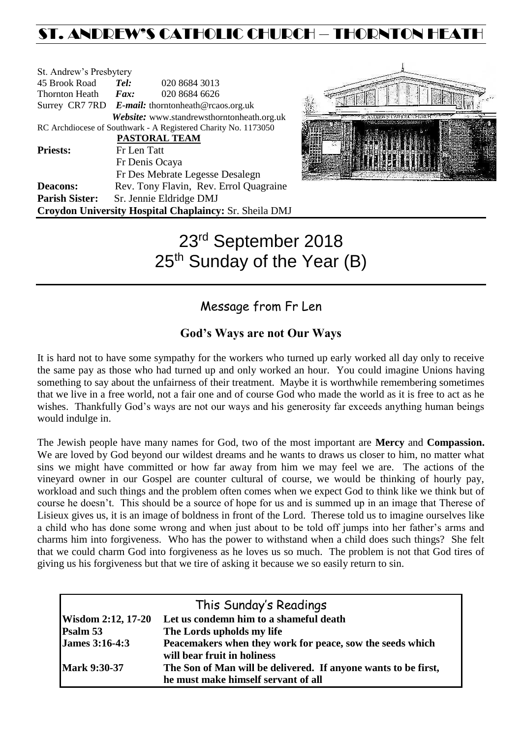# ST. ANDREW'S CATHOLIC CHURCH – THORNTON HEATH

| St. Andrew's Presbytery |                                                   |                                                                |  |  |  |
|-------------------------|---------------------------------------------------|----------------------------------------------------------------|--|--|--|
| 45 Brook Road           | Tel:                                              | 020 8684 3013                                                  |  |  |  |
| Thornton Heath          | $\boldsymbol{F}$ <i>ax</i> :                      | 020 8684 6626                                                  |  |  |  |
|                         | Surrey CR7 7RD E-mail: thorntonheath@rcaos.org.uk |                                                                |  |  |  |
|                         |                                                   | Website: www.standrewsthorntonheath.org.uk                     |  |  |  |
|                         |                                                   | RC Archdiocese of Southwark - A Registered Charity No. 1173050 |  |  |  |
|                         |                                                   | PASTORAL TEAM                                                  |  |  |  |
| <b>Priests:</b>         | Fr Len Tatt                                       |                                                                |  |  |  |
|                         |                                                   | Fr Denis Ocaya                                                 |  |  |  |
|                         |                                                   | Fr Des Mebrate Legesse Desalegn                                |  |  |  |
| <b>Deacons:</b>         |                                                   | Rev. Tony Flavin, Rev. Errol Quagraine                         |  |  |  |
| <b>Parish Sister:</b>   |                                                   | Sr. Jennie Eldridge DMJ                                        |  |  |  |
|                         |                                                   | Croydon University Hospital Chaplaincy: Sr. Sheila DMJ         |  |  |  |



# 23rd September 2018 25<sup>th</sup> Sunday of the Year (B)

# Message from Fr Len

# **God's Ways are not Our Ways**

It is hard not to have some sympathy for the workers who turned up early worked all day only to receive the same pay as those who had turned up and only worked an hour. You could imagine Unions having something to say about the unfairness of their treatment. Maybe it is worthwhile remembering sometimes that we live in a free world, not a fair one and of course God who made the world as it is free to act as he wishes. Thankfully God's ways are not our ways and his generosity far exceeds anything human beings would indulge in.

The Jewish people have many names for God, two of the most important are **Mercy** and **Compassion.**  We are loved by God beyond our wildest dreams and he wants to draws us closer to him, no matter what sins we might have committed or how far away from him we may feel we are. The actions of the vineyard owner in our Gospel are counter cultural of course, we would be thinking of hourly pay, workload and such things and the problem often comes when we expect God to think like we think but of course he doesn't. This should be a source of hope for us and is summed up in an image that Therese of Lisieux gives us, it is an image of boldness in front of the Lord. Therese told us to imagine ourselves like a child who has done some wrong and when just about to be told off jumps into her father's arms and charms him into forgiveness. Who has the power to withstand when a child does such things? She felt that we could charm God into forgiveness as he loves us so much. The problem is not that God tires of giving us his forgiveness but that we tire of asking it because we so easily return to sin.

| This Sunday's Readings    |                                                                |  |  |  |
|---------------------------|----------------------------------------------------------------|--|--|--|
| <b>Wisdom 2:12, 17-20</b> | Let us condemn him to a shameful death                         |  |  |  |
| Psalm 53                  | The Lords upholds my life                                      |  |  |  |
| <b>James 3:16-4:3</b>     | Peacemakers when they work for peace, sow the seeds which      |  |  |  |
|                           | will bear fruit in holiness                                    |  |  |  |
| <b>Mark 9:30-37</b>       | The Son of Man will be delivered. If anyone wants to be first, |  |  |  |
|                           | he must make himself servant of all                            |  |  |  |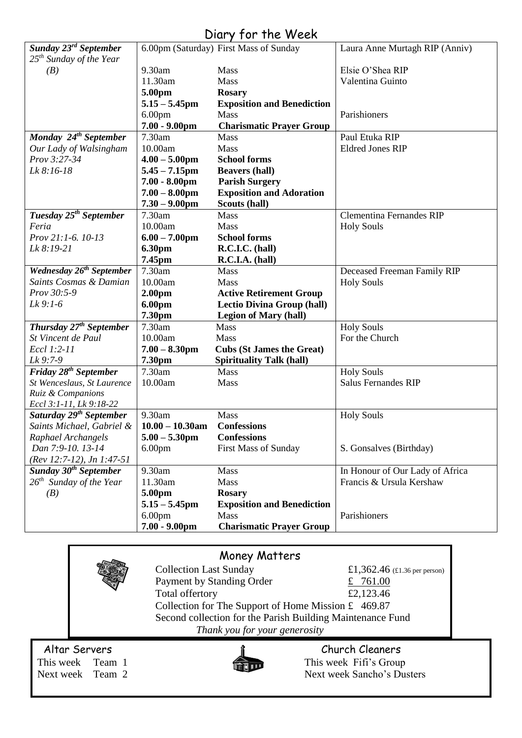| Diary for the Week                             |                    |                                        |                                 |  |  |  |  |
|------------------------------------------------|--------------------|----------------------------------------|---------------------------------|--|--|--|--|
| Sunday 23 <sup>rd</sup> September              |                    | 6.00pm (Saturday) First Mass of Sunday | Laura Anne Murtagh RIP (Anniv)  |  |  |  |  |
| 25 <sup>th</sup> Sunday of the Year            |                    |                                        |                                 |  |  |  |  |
| (B)                                            | 9.30am             | Mass                                   | Elsie O'Shea RIP                |  |  |  |  |
|                                                | 11.30am            | Mass                                   | Valentina Guinto                |  |  |  |  |
|                                                | 5.00pm             | <b>Rosary</b>                          |                                 |  |  |  |  |
|                                                | $5.15 - 5.45$ pm   | <b>Exposition and Benediction</b>      |                                 |  |  |  |  |
|                                                | 6.00 <sub>pm</sub> | Mass                                   | Parishioners                    |  |  |  |  |
|                                                | $7.00 - 9.00$ pm   | <b>Charismatic Prayer Group</b>        |                                 |  |  |  |  |
| Monday 24 <sup>th</sup> September              | 7.30am             | Mass                                   | Paul Etuka RIP                  |  |  |  |  |
| Our Lady of Walsingham                         | 10.00am            | Mass                                   | <b>Eldred Jones RIP</b>         |  |  |  |  |
| Prov 3:27-34                                   | $4.00 - 5.00$ pm   | <b>School forms</b>                    |                                 |  |  |  |  |
| Lk 8:16-18                                     | $5.45 - 7.15$ pm   | <b>Beavers (hall)</b>                  |                                 |  |  |  |  |
|                                                | $7.00 - 8.00$ pm   | <b>Parish Surgery</b>                  |                                 |  |  |  |  |
|                                                | $7.00 - 8.00$ pm   | <b>Exposition and Adoration</b>        |                                 |  |  |  |  |
|                                                | $7.30 - 9.00$ pm   | Scouts (hall)                          |                                 |  |  |  |  |
| Tuesday 25 <sup>th</sup> September             | 7.30am             | <b>Mass</b>                            | <b>Clementina Fernandes RIP</b> |  |  |  |  |
| Feria                                          | 10.00am            | <b>Mass</b>                            | <b>Holy Souls</b>               |  |  |  |  |
| Prov 21:1-6. 10-13                             | $6.00 - 7.00$ pm   | <b>School forms</b>                    |                                 |  |  |  |  |
| Lk 8:19-21                                     | 6.30pm             | R.C.I.C. (hall)                        |                                 |  |  |  |  |
|                                                | 7.45pm             | R.C.I.A. (hall)                        |                                 |  |  |  |  |
| Wednesday $2\overline{6^{th}}$ September       | 7.30am             | <b>Mass</b>                            | Deceased Freeman Family RIP     |  |  |  |  |
| Saints Cosmas & Damian                         | 10.00am            | <b>Mass</b>                            | <b>Holy Souls</b>               |  |  |  |  |
| Prov 30:5-9                                    | 2.00 <sub>pm</sub> | <b>Active Retirement Group</b>         |                                 |  |  |  |  |
| $Lk$ 9:1-6                                     | 6.00pm             | <b>Lectio Divina Group (hall)</b>      |                                 |  |  |  |  |
|                                                | 7.30pm             | <b>Legion of Mary (hall)</b>           |                                 |  |  |  |  |
| Thursday 27 <sup>th</sup> September            | 7.30am             | Mass                                   | <b>Holy Souls</b>               |  |  |  |  |
| St Vincent de Paul                             | 10.00am            | Mass                                   | For the Church                  |  |  |  |  |
| Eccl 1:2-11                                    | $7.00 - 8.30$ pm   | <b>Cubs (St James the Great)</b>       |                                 |  |  |  |  |
| Lk 9:7-9                                       | 7.30pm             | <b>Spirituality Talk (hall)</b>        |                                 |  |  |  |  |
| $\overline{Friday}$ 28 <sup>th</sup> September | 7.30am             | Mass                                   | <b>Holy Souls</b>               |  |  |  |  |
| St Wenceslaus, St Laurence                     | 10.00am            | Mass                                   | <b>Salus Fernandes RIP</b>      |  |  |  |  |
| Ruiz & Companions                              |                    |                                        |                                 |  |  |  |  |
| Eccl 3:1-11, Lk 9:18-22                        |                    |                                        |                                 |  |  |  |  |
| Saturday 29 <sup>th</sup> September            | 9.30am             | Mass                                   | <b>Holy Souls</b>               |  |  |  |  |
| Saints Michael, Gabriel &                      | $10.00 - 10.30$ am | <b>Confessions</b>                     |                                 |  |  |  |  |
| Raphael Archangels                             | $5.00 - 5.30$ pm   | <b>Confessions</b>                     |                                 |  |  |  |  |
| Dan 7:9-10. 13-14                              | 6.00 <sub>pm</sub> | <b>First Mass of Sunday</b>            | S. Gonsalves (Birthday)         |  |  |  |  |
| (Rev 12:7-12), Jn 1:47-51                      |                    |                                        |                                 |  |  |  |  |
| Sunday 30 <sup>th</sup> September              | 9.30am             | <b>Mass</b>                            | In Honour of Our Lady of Africa |  |  |  |  |
| $26th$ Sunday of the Year                      | 11.30am            | <b>Mass</b>                            | Francis & Ursula Kershaw        |  |  |  |  |
| (B)                                            | 5.00pm             | <b>Rosary</b>                          |                                 |  |  |  |  |
|                                                | $5.15 - 5.45$ pm   | <b>Exposition and Benediction</b>      |                                 |  |  |  |  |
|                                                | 6.00 <sub>pm</sub> | <b>Mass</b>                            | Parishioners                    |  |  |  |  |
|                                                | $7.00 - 9.00$ pm   | <b>Charismatic Prayer Group</b>        |                                 |  |  |  |  |
|                                                |                    |                                        |                                 |  |  |  |  |

# Money Matters Collection Last Sunday  $£1,362.46$  (£1.36 per person) Payment by Standing Order  $\frac{2}{10}$  761.00 Total offertory  $£2,123.46$ Collection for The Support of Home Mission £ 469.87 Second collection for the Parish Building Maintenance Fund *Thank you for your generosity* Altar Servers **Church Cleaners** Church Cleaners This week Team 1 This week Fifi's Group Next week Team 2 Next week Sancho's Dusters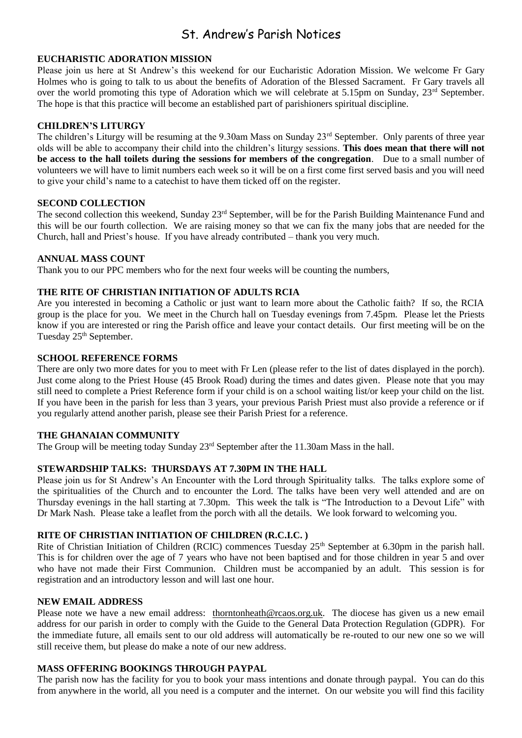# St. Andrew's Parish Notices

# **EUCHARISTIC ADORATION MISSION**

Please join us here at St Andrew's this weekend for our Eucharistic Adoration Mission. We welcome Fr Gary Holmes who is going to talk to us about the benefits of Adoration of the Blessed Sacrament. Fr Gary travels all over the world promoting this type of Adoration which we will celebrate at 5.15pm on Sunday, 23<sup>rd</sup> September. The hope is that this practice will become an established part of parishioners spiritual discipline.

# **CHILDREN'S LITURGY**

The children's Liturgy will be resuming at the 9.30am Mass on Sunday 23<sup>rd</sup> September. Only parents of three year olds will be able to accompany their child into the children's liturgy sessions. **This does mean that there will not be access to the hall toilets during the sessions for members of the congregation**. Due to a small number of volunteers we will have to limit numbers each week so it will be on a first come first served basis and you will need to give your child's name to a catechist to have them ticked off on the register.

# **SECOND COLLECTION**

The second collection this weekend, Sunday 23rd September, will be for the Parish Building Maintenance Fund and this will be our fourth collection. We are raising money so that we can fix the many jobs that are needed for the Church, hall and Priest's house. If you have already contributed – thank you very much.

# **ANNUAL MASS COUNT**

Thank you to our PPC members who for the next four weeks will be counting the numbers,

# **THE RITE OF CHRISTIAN INITIATION OF ADULTS RCIA**

Are you interested in becoming a Catholic or just want to learn more about the Catholic faith? If so, the RCIA group is the place for you. We meet in the Church hall on Tuesday evenings from 7.45pm. Please let the Priests know if you are interested or ring the Parish office and leave your contact details. Our first meeting will be on the Tuesday 25<sup>th</sup> September.

# **SCHOOL REFERENCE FORMS**

There are only two more dates for you to meet with Fr Len (please refer to the list of dates displayed in the porch). Just come along to the Priest House (45 Brook Road) during the times and dates given. Please note that you may still need to complete a Priest Reference form if your child is on a school waiting list/or keep your child on the list. If you have been in the parish for less than 3 years, your previous Parish Priest must also provide a reference or if you regularly attend another parish, please see their Parish Priest for a reference.

# **THE GHANAIAN COMMUNITY**

The Group will be meeting today Sunday 23rd September after the 11.30am Mass in the hall.

# **STEWARDSHIP TALKS: THURSDAYS AT 7.30PM IN THE HALL**

Please join us for St Andrew's An Encounter with the Lord through Spirituality talks. The talks explore some of the spiritualities of the Church and to encounter the Lord. The talks have been very well attended and are on Thursday evenings in the hall starting at 7.30pm. This week the talk is "The Introduction to a Devout Life" with Dr Mark Nash. Please take a leaflet from the porch with all the details. We look forward to welcoming you.

# **RITE OF CHRISTIAN INITIATION OF CHILDREN (R.C.I.C. )**

Rite of Christian Initiation of Children (RCIC) commences Tuesday 25<sup>th</sup> September at 6.30pm in the parish hall. This is for children over the age of 7 years who have not been baptised and for those children in year 5 and over who have not made their First Communion. Children must be accompanied by an adult. This session is for registration and an introductory lesson and will last one hour.

# **NEW EMAIL ADDRESS**

Please note we have a new email address: [thorntonheath@rcaos.org.uk.](mailto:thorntonheath@rcaos.org.uk) The diocese has given us a new email address for our parish in order to comply with the Guide to the General Data Protection Regulation (GDPR). For the immediate future, all emails sent to our old address will automatically be re-routed to our new one so we will still receive them, but please do make a note of our new address.

# **MASS OFFERING BOOKINGS THROUGH PAYPAL**

The parish now has the facility for you to book your mass intentions and donate through paypal. You can do this from anywhere in the world, all you need is a computer and the internet. On our website you will find this facility